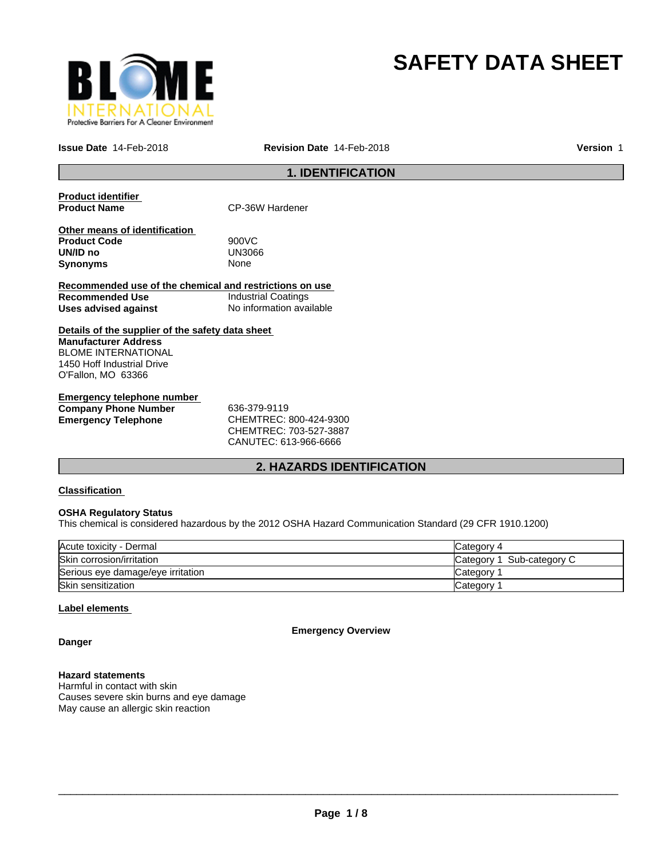

# **SAFETY DATA SHEET**

**Issue Date** 14-Feb-2018 **Revision Date** 14-Feb-2018

**Version** 1

### **1. IDENTIFICATION**

**Product identifier** 

**CP-36W Hardener** 

**Other means of identification Product Code** 900VC **UN/ID no** UN30<br>**Synonyms** None **Synonyms** 

**Recommended use of the chemical and restrictions on use Recommended Use Industrial Coatings**<br> **Uses advised against Internation** No information available **Uses advised against** 

**Details of the supplier of the safety data sheet Manufacturer Address** BLOME INTERNATIONAL 1450 Hoff Industrial Drive O'Fallon, MO 63366

**Emergency telephone number Company Phone Number** 636-379-9119 **Emergency Telephone** CHEMTREC: 800-424-9300

CHEMTREC: 703-527-3887 CANUTEC: 613-966-6666

### **2. HAZARDS IDENTIFICATION**

### **Classification**

### **OSHA Regulatory Status**

This chemical is considered hazardous by the 2012 OSHA Hazard Communication Standard (29 CFR 1910.1200)

| Acute toxicity - Dermal           | Category 4                 |
|-----------------------------------|----------------------------|
| Skin corrosion/irritation         | Sub-category C<br>Category |
| Serious eye damage/eye irritation | Category                   |
| Skin sensitization                | Category                   |

### **Label elements**

**Emergency Overview**

**Danger**

### **Hazard statements**

Harmful in contact with skin Causes severe skin burns and eye damage May cause an allergic skin reaction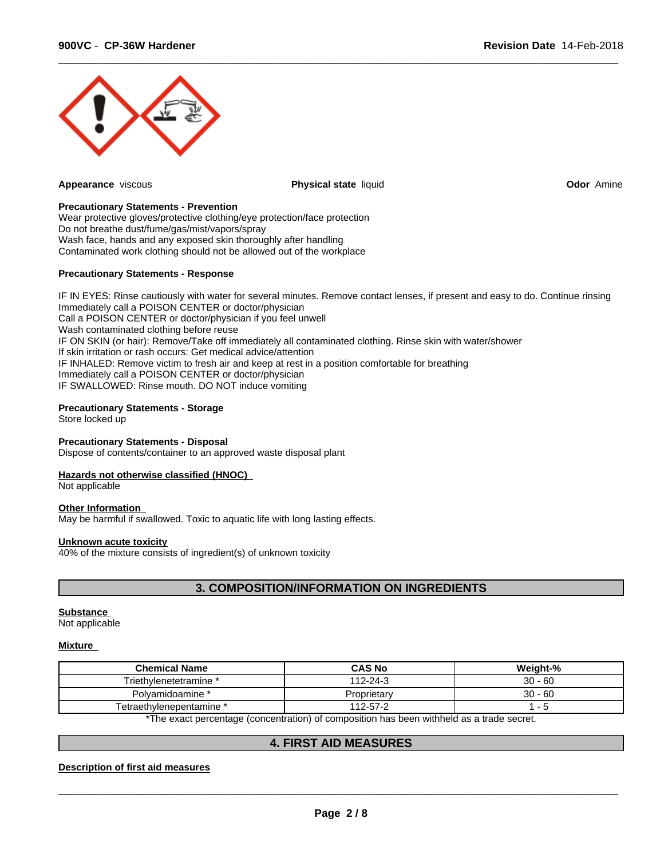

**Appearance** viscous **Physical state** liquid **Odor** Amine

 $\overline{\phantom{a}}$  ,  $\overline{\phantom{a}}$  ,  $\overline{\phantom{a}}$  ,  $\overline{\phantom{a}}$  ,  $\overline{\phantom{a}}$  ,  $\overline{\phantom{a}}$  ,  $\overline{\phantom{a}}$  ,  $\overline{\phantom{a}}$  ,  $\overline{\phantom{a}}$  ,  $\overline{\phantom{a}}$  ,  $\overline{\phantom{a}}$  ,  $\overline{\phantom{a}}$  ,  $\overline{\phantom{a}}$  ,  $\overline{\phantom{a}}$  ,  $\overline{\phantom{a}}$  ,  $\overline{\phantom{a}}$ 

### **Precautionary Statements - Prevention**

Wear protective gloves/protective clothing/eye protection/face protection Do not breathe dust/fume/gas/mist/vapors/spray Wash face, hands and any exposed skin thoroughly after handling Contaminated work clothing should not be allowed out of the workplace

### **Precautionary Statements - Response**

IF IN EYES: Rinse cautiously with water for several minutes. Remove contact lenses, if present and easy to do. Continue rinsing Immediately call a POISON CENTER or doctor/physician Call a POISON CENTER or doctor/physician if you feel unwell Wash contaminated clothing before reuse IF ON SKIN (or hair): Remove/Take off immediately all contaminated clothing. Rinse skin with water/shower If skin irritation or rash occurs: Get medical advice/attention IF INHALED: Remove victim to fresh air and keep at rest in a position comfortable for breathing Immediately call a POISON CENTER or doctor/physician IF SWALLOWED: Rinse mouth. DO NOT induce vomiting

### **Precautionary Statements - Storage**

Store locked up

#### **Precautionary Statements - Disposal**

Dispose of contents/container to an approved waste disposal plant

#### **Hazards not otherwise classified (HNOC)**

Not applicable

#### **Other Information**

May be harmful if swallowed. Toxic to aquatic life with long lasting effects.

#### **Unknown acute toxicity**

40% of the mixture consists of ingredient(s) of unknown toxicity

### **3. COMPOSITION/INFORMATION ON INGREDIENTS**

#### **Substance**

Not applicable

#### **Mixture**

| <b>Chemical Name</b>                                                                                           | <b>CAS No</b> | Weight-%  |  |  |
|----------------------------------------------------------------------------------------------------------------|---------------|-----------|--|--|
| Triethylenetetramine *                                                                                         | 112-24-3      | $30 - 60$ |  |  |
| Polvamidoamine *                                                                                               | Proprietary   | $30 - 60$ |  |  |
| Tetraethvlenepentamine *                                                                                       | 112-57-2      |           |  |  |
| W⊤b a concert a concerta de ferma encaracters) af a concertible. Noar bet en colibbe lei de la manda en concer |               |           |  |  |

The exact percentage (concentration) of composition has been withheld as a trade secret.

### **4. FIRST AID MEASURES**

### **Description of first aid measures**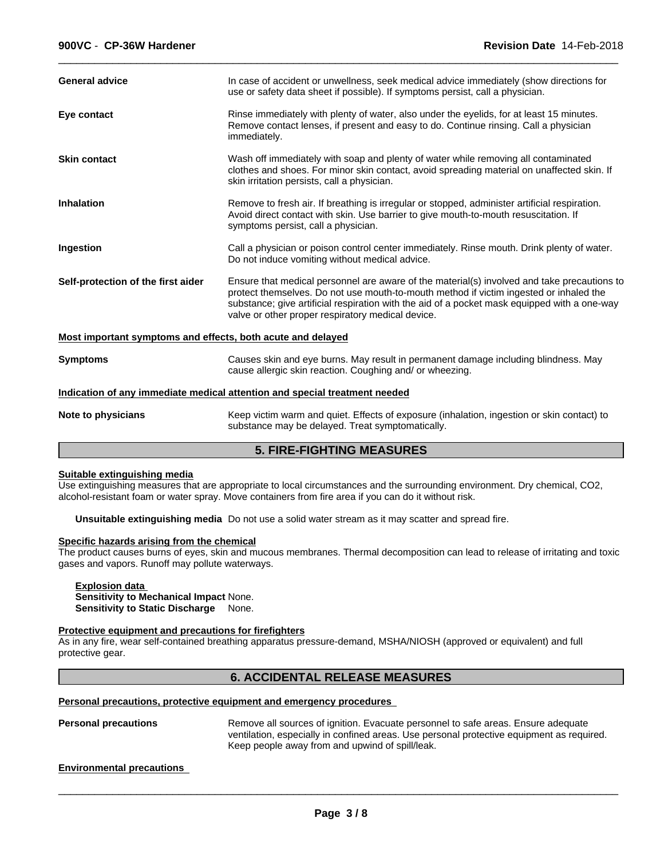| <b>General advice</b>                                       | In case of accident or unwellness, seek medical advice immediately (show directions for<br>use or safety data sheet if possible). If symptoms persist, call a physician.                                                                                                                                                                   |  |
|-------------------------------------------------------------|--------------------------------------------------------------------------------------------------------------------------------------------------------------------------------------------------------------------------------------------------------------------------------------------------------------------------------------------|--|
| Eye contact                                                 | Rinse immediately with plenty of water, also under the eyelids, for at least 15 minutes.<br>Remove contact lenses, if present and easy to do. Continue rinsing. Call a physician<br>immediately.                                                                                                                                           |  |
| <b>Skin contact</b>                                         | Wash off immediately with soap and plenty of water while removing all contaminated<br>clothes and shoes. For minor skin contact, avoid spreading material on unaffected skin. If<br>skin irritation persists, call a physician.                                                                                                            |  |
| <b>Inhalation</b>                                           | Remove to fresh air. If breathing is irregular or stopped, administer artificial respiration.<br>Avoid direct contact with skin. Use barrier to give mouth-to-mouth resuscitation. If<br>symptoms persist, call a physician.                                                                                                               |  |
| Ingestion                                                   | Call a physician or poison control center immediately. Rinse mouth. Drink plenty of water.<br>Do not induce vomiting without medical advice.                                                                                                                                                                                               |  |
| Self-protection of the first aider                          | Ensure that medical personnel are aware of the material(s) involved and take precautions to<br>protect themselves. Do not use mouth-to-mouth method if victim ingested or inhaled the<br>substance; give artificial respiration with the aid of a pocket mask equipped with a one-way<br>valve or other proper respiratory medical device. |  |
| Most important symptoms and effects, both acute and delayed |                                                                                                                                                                                                                                                                                                                                            |  |
| <b>Symptoms</b>                                             | Causes skin and eye burns. May result in permanent damage including blindness. May<br>cause allergic skin reaction. Coughing and/ or wheezing.                                                                                                                                                                                             |  |
|                                                             | Indication of any immediate medical attention and special treatment needed                                                                                                                                                                                                                                                                 |  |
| Note to physicians                                          | Keep victim warm and quiet. Effects of exposure (inhalation, ingestion or skin contact) to<br>substance may be delayed. Treat symptomatically.                                                                                                                                                                                             |  |
|                                                             | <b>5. FIRE-FIGHTING MEASURES</b>                                                                                                                                                                                                                                                                                                           |  |

 $\overline{\phantom{a}}$  ,  $\overline{\phantom{a}}$  ,  $\overline{\phantom{a}}$  ,  $\overline{\phantom{a}}$  ,  $\overline{\phantom{a}}$  ,  $\overline{\phantom{a}}$  ,  $\overline{\phantom{a}}$  ,  $\overline{\phantom{a}}$  ,  $\overline{\phantom{a}}$  ,  $\overline{\phantom{a}}$  ,  $\overline{\phantom{a}}$  ,  $\overline{\phantom{a}}$  ,  $\overline{\phantom{a}}$  ,  $\overline{\phantom{a}}$  ,  $\overline{\phantom{a}}$  ,  $\overline{\phantom{a}}$ 

#### **Suitable extinguishing media**

Use extinguishing measures that are appropriate to local circumstances and the surrounding environment. Dry chemical, CO2, alcohol-resistant foam or water spray. Move containers from fire area if you can do it without risk.

**Unsuitable extinguishing media** Do not use a solid water stream as it may scatter and spread fire.

### **Specific hazards arising from the chemical**

The product causes burns of eyes, skin and mucous membranes. Thermal decomposition can lead to release of irritating and toxic gases and vapors. Runoff may pollute waterways.

#### **Explosion data Sensitivity to Mechanical Impact** None. **Sensitivity to Static Discharge** None.

#### **Protective equipment and precautions for firefighters**

As in any fire, wear self-contained breathing apparatus pressure-demand, MSHA/NIOSH (approved or equivalent) and full protective gear.

### **6. ACCIDENTAL RELEASE MEASURES**

### **Personal precautions, protective equipment and emergency procedures**

**Personal precautions** Remove all sources of ignition. Evacuate personnel to safe areas. Ensure adequate ventilation, especially in confined areas. Use personal protective equipment as required. Keep people away from and upwind of spill/leak.

### **Environmental precautions**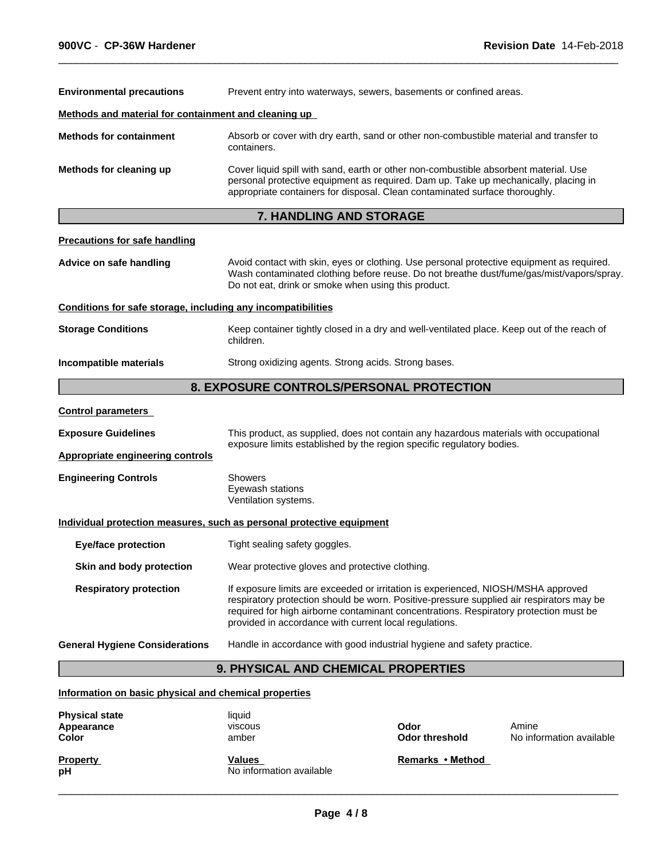| <b>Environmental precautions</b>                                                                                                        | Prevent entry into waterways, sewers, basements or confined areas.                                                                                                                                                                                         |  |  |
|-----------------------------------------------------------------------------------------------------------------------------------------|------------------------------------------------------------------------------------------------------------------------------------------------------------------------------------------------------------------------------------------------------------|--|--|
| Methods and material for containment and cleaning up                                                                                    |                                                                                                                                                                                                                                                            |  |  |
| <b>Methods for containment</b><br>Absorb or cover with dry earth, sand or other non-combustible material and transfer to<br>containers. |                                                                                                                                                                                                                                                            |  |  |
| Methods for cleaning up                                                                                                                 | Cover liquid spill with sand, earth or other non-combustible absorbent material. Use<br>personal protective equipment as required. Dam up. Take up mechanically, placing in<br>appropriate containers for disposal. Clean contaminated surface thoroughly. |  |  |
|                                                                                                                                         | <b>7. HANDLING AND STORAGE</b>                                                                                                                                                                                                                             |  |  |
| <b>Precautions for safe handling</b>                                                                                                    |                                                                                                                                                                                                                                                            |  |  |
| Advice on safe handling                                                                                                                 | Avoid contact with skin, eyes or clothing. Use personal protective equipment as required.<br>Wash contaminated clothing before reuse. Do not breathe dust/fume/gas/mist/vapors/spray.<br>Do not eat, drink or smoke when using this product.               |  |  |
| Conditions for safe storage, including any incompatibilities                                                                            |                                                                                                                                                                                                                                                            |  |  |
| <b>Storage Conditions</b>                                                                                                               | Keep container tightly closed in a dry and well-ventilated place. Keep out of the reach of<br>children.                                                                                                                                                    |  |  |
| Incompatible materials                                                                                                                  | Strong oxidizing agents. Strong acids. Strong bases.                                                                                                                                                                                                       |  |  |

 $\overline{\phantom{a}}$  ,  $\overline{\phantom{a}}$  ,  $\overline{\phantom{a}}$  ,  $\overline{\phantom{a}}$  ,  $\overline{\phantom{a}}$  ,  $\overline{\phantom{a}}$  ,  $\overline{\phantom{a}}$  ,  $\overline{\phantom{a}}$  ,  $\overline{\phantom{a}}$  ,  $\overline{\phantom{a}}$  ,  $\overline{\phantom{a}}$  ,  $\overline{\phantom{a}}$  ,  $\overline{\phantom{a}}$  ,  $\overline{\phantom{a}}$  ,  $\overline{\phantom{a}}$  ,  $\overline{\phantom{a}}$ 

### **8. EXPOSURE CONTROLS/PERSONAL PROTECTION**

| <b>Control parameters</b> |
|---------------------------|
|---------------------------|

**Exposure Guidelines** This product, as supplied, does not contain any hazardous materials with occupational exposure limits established by the region specific regulatory bodies.

**Appropriate engineering controls**

**Engineering Controls** Showers Eyewash stations

Ventilation systems.

### **Individual protection measures, such as personal protective equipment**

**Eye/face protection** Tight sealing safety goggles.

**Skin and body protection** Wear protective gloves and protective clothing.

**Respiratory protection** If exposure limits are exceeded or irritation is experienced, NIOSH/MSHA approved respiratory protection should be worn. Positive-pressure supplied air respirators may be required for high airborne contaminant concentrations. Respiratory protection must be provided in accordance with current local regulations.

**General Hygiene Considerations** Handle in accordance with good industrial hygiene and safety practice.

### **9. PHYSICAL AND CHEMICAL PROPERTIES**

**Information on basic physical and chemical properties**

| <b>Physical state</b><br>Appearance<br>Color | liquid<br><b>VISCOUS</b><br>amber  | Odor<br><b>Odor threshold</b> | Amine<br>No information available |
|----------------------------------------------|------------------------------------|-------------------------------|-----------------------------------|
| <b>Property</b><br>рH                        | Values<br>No information available | Remarks • Method              |                                   |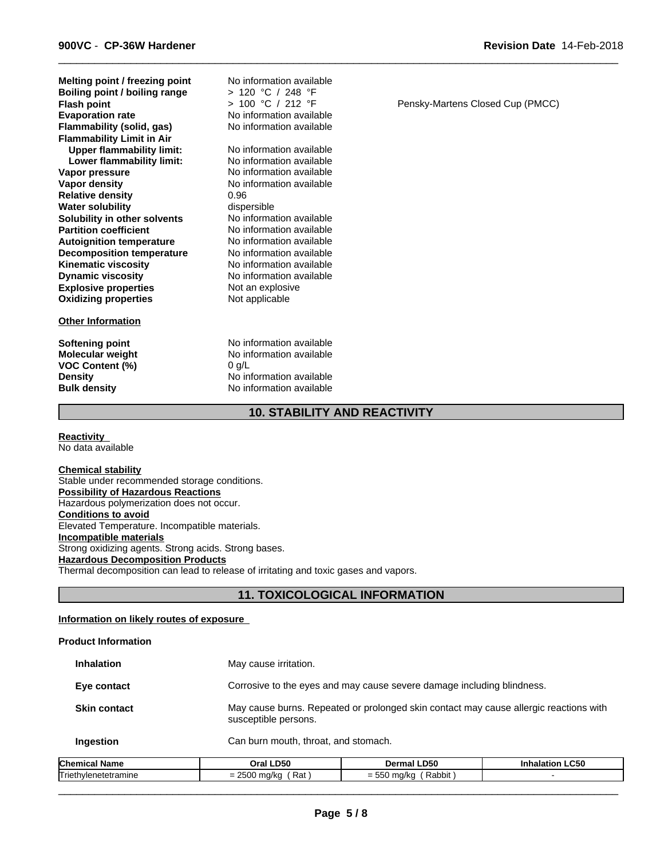**Explosive properties** Not an explosive<br> **Oxidizing properties** Not applicable **Oxidizing properties Melting point / freezing point Lower flammability limit:** No information available<br>Vapor pressure **No information available Flash point**<br> **Evaporation rate**<br> **Evaporation rate**<br> **No information availa Vapor density No information available Relative density** 0.96 **Water solubility** dispersible<br> **Solubility in other solvents** Moinformation available **Solubility in other solvents<br>Partition coefficient Flammability (solid, gas) Autoignition temperature No information available**<br> **Decomposition temperature No information available Boiling point / boiling range Decomposition temperature<br>Kinematic viscosity Flammability Limit in Air Kinematic viscosity**<br> **Community No information available**<br>
No information available **Upper flammability limit:** No information available

### **Other Information**

**VOC Content (%)** 0 g/L<br>**Density** No in

**No information available** No information available **No information available No information available**<br>No information available No information available > 120 °C / 248 °F **No information available** 

**Softening point** No information available **Molecular weight** No information available **No information available Bulk density** No information available

**10. STABILITY AND REACTIVITY**

**Reactivity**  No data available

#### **Chemical stability**

Stable under recommended storage conditions. **Possibility of Hazardous Reactions** Hazardous polymerization does not occur. **Conditions to avoid** Elevated Temperature. Incompatible materials. **Incompatible materials** Strong oxidizing agents. Strong acids. Strong bases. **Hazardous Decomposition Products** Thermal decomposition can lead to release of irritating and toxic gases and vapors.

### **11. TOXICOLOGICAL INFORMATION**

### **Information on likely routes of exposure**

### **Product Information**

| <b>Inhalation</b>   | May cause irritation.                                                                                         |
|---------------------|---------------------------------------------------------------------------------------------------------------|
| Eye contact         | Corrosive to the eyes and may cause severe damage including blindness.                                        |
| <b>Skin contact</b> | May cause burns. Repeated or prolonged skin contact may cause allergic reactions with<br>susceptible persons. |
| Ingestion           | Can burn mouth, throat, and stomach.                                                                          |

| <b>Chemical</b>                   | <b>LD50</b>                                        | .D50                                       | LC50 |
|-----------------------------------|----------------------------------------------------|--------------------------------------------|------|
| Name                              | Oral                                               | mar                                        |      |
| - -<br>I riethy<br>'Ienetetramıne | $\sim$ $\sim$ $\sim$<br>Rat<br>$\sim$ ind/k $\sim$ | $- - -$<br>Rabbit<br>maA/ka<br>-<br>THU/KC |      |

Pensky-Martens Closed Cup (PMCC)

 $\overline{\phantom{a}}$  ,  $\overline{\phantom{a}}$  ,  $\overline{\phantom{a}}$  ,  $\overline{\phantom{a}}$  ,  $\overline{\phantom{a}}$  ,  $\overline{\phantom{a}}$  ,  $\overline{\phantom{a}}$  ,  $\overline{\phantom{a}}$  ,  $\overline{\phantom{a}}$  ,  $\overline{\phantom{a}}$  ,  $\overline{\phantom{a}}$  ,  $\overline{\phantom{a}}$  ,  $\overline{\phantom{a}}$  ,  $\overline{\phantom{a}}$  ,  $\overline{\phantom{a}}$  ,  $\overline{\phantom{a}}$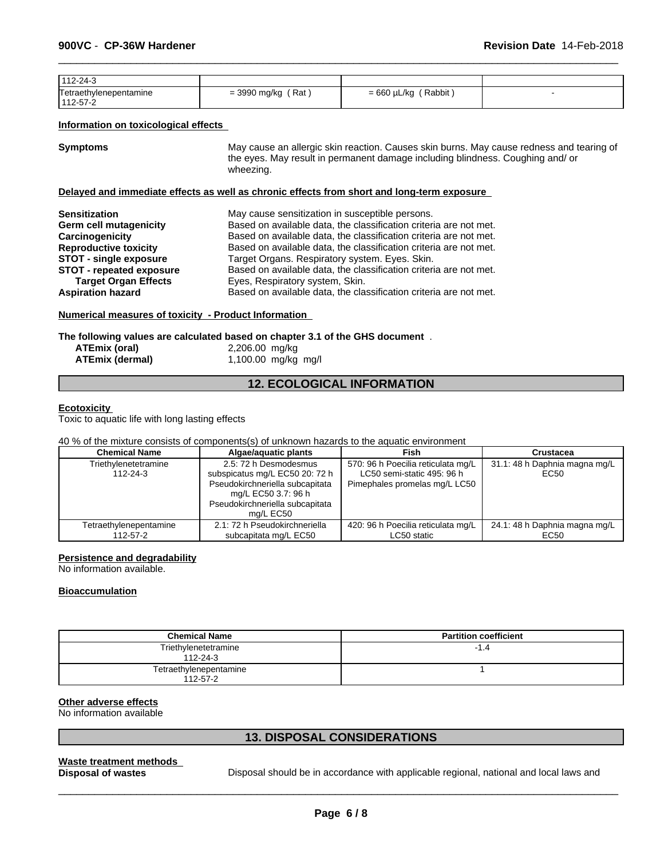| 112-24-3               |              |             |  |
|------------------------|--------------|-------------|--|
| Tetraethylenepentamine | Rat          | Rabbit      |  |
| 112-57-2               | = 3990 mg/kg | = 660 µL/kg |  |

### **Information on toxicological effects**

**Symptoms** May cause an allergic skin reaction. Causes skin burns. May cause redness and tearing of the eyes. May result in permanent damage including blindness. Coughing and/ or wheezing.

 $\overline{\phantom{a}}$  ,  $\overline{\phantom{a}}$  ,  $\overline{\phantom{a}}$  ,  $\overline{\phantom{a}}$  ,  $\overline{\phantom{a}}$  ,  $\overline{\phantom{a}}$  ,  $\overline{\phantom{a}}$  ,  $\overline{\phantom{a}}$  ,  $\overline{\phantom{a}}$  ,  $\overline{\phantom{a}}$  ,  $\overline{\phantom{a}}$  ,  $\overline{\phantom{a}}$  ,  $\overline{\phantom{a}}$  ,  $\overline{\phantom{a}}$  ,  $\overline{\phantom{a}}$  ,  $\overline{\phantom{a}}$ 

### **Delayed and immediate effects as well as chronic effects from short and long-term exposure**

| <b>Sensitization</b>          | May cause sensitization in susceptible persons.                   |
|-------------------------------|-------------------------------------------------------------------|
| Germ cell mutagenicity        | Based on available data, the classification criteria are not met. |
| Carcinogenicity               | Based on available data, the classification criteria are not met. |
| <b>Reproductive toxicity</b>  | Based on available data, the classification criteria are not met. |
| <b>STOT - single exposure</b> | Target Organs. Respiratory system. Eyes. Skin.                    |
| STOT - repeated exposure      | Based on available data, the classification criteria are not met. |
| <b>Target Organ Effects</b>   | Eyes, Respiratory system, Skin.                                   |
| <b>Aspiration hazard</b>      | Based on available data, the classification criteria are not met. |

### **Numerical measures of toxicity - Product Information**

**The following values are calculated based on chapter 3.1 of the GHS document** .

| ATEmix (oral)          | 2,206.00 mg/kg      |
|------------------------|---------------------|
| <b>ATEmix (dermal)</b> | 1,100.00 mg/kg mg/l |

### **12. ECOLOGICAL INFORMATION**

### **Ecotoxicity**

Toxic to aquatic life with long lasting effects

### 40 % of the mixture consists of components(s) of unknown hazards to the aquatic environment

| <b>Chemical Name</b>               | Algae/aquatic plants                                                                                                                                              | Fish                                                                                              | Crustacea                             |
|------------------------------------|-------------------------------------------------------------------------------------------------------------------------------------------------------------------|---------------------------------------------------------------------------------------------------|---------------------------------------|
| Triethylenetetramine<br>112-24-3   | 2.5: 72 h Desmodesmus<br>subspicatus mg/L EC50 20: 72 h<br>Pseudokirchneriella subcapitata<br>mg/L EC50 3.7: 96 h<br>Pseudokirchneriella subcapitata<br>ma/L EC50 | 570: 96 h Poecilia reticulata mg/L<br>LC50 semi-static 495: 96 h<br>Pimephales promelas mg/L LC50 | 31.1: 48 h Daphnia magna mg/L<br>EC50 |
| Tetraethylenepentamine<br>112-57-2 | 2.1: 72 h Pseudokirchneriella<br>subcapitata mg/L EC50                                                                                                            | 420: 96 h Poecilia reticulata mg/L<br>LC50 static                                                 | 24.1: 48 h Daphnia magna mg/L<br>EC50 |

### **Persistence and degradability**

No information available.

### **Bioaccumulation**

| <b>Chemical Name</b>                     | <b>Partition coefficient</b> |
|------------------------------------------|------------------------------|
| Triethylenetetramine<br>$112 - 24 - 3$   | $-1.4$                       |
| Tetraethylenepentamine<br>$112 - 57 - 2$ |                              |

### **Other adverse effects**

No information available

### **13. DISPOSAL CONSIDERATIONS**

**Waste treatment methods** 

**Disposal of wastes** Disposal should be in accordance with applicable regional, national and local laws and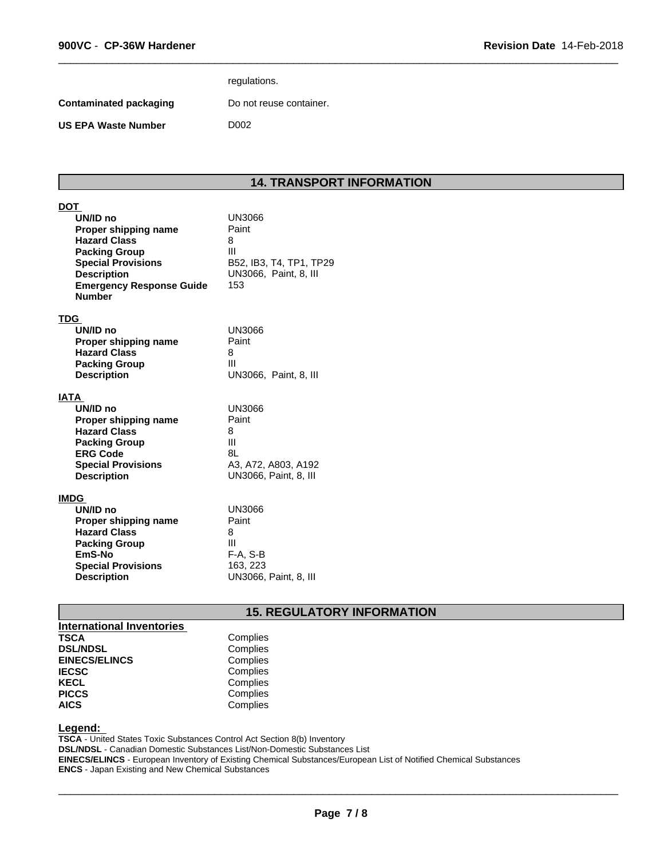**DOT** 

|                        | regulations.            |
|------------------------|-------------------------|
| Contaminated packaging | Do not reuse container. |
| US EPA Waste Number    | D002                    |
|                        |                         |

### **14. TRANSPORT INFORMATION**

 $\overline{\phantom{a}}$  ,  $\overline{\phantom{a}}$  ,  $\overline{\phantom{a}}$  ,  $\overline{\phantom{a}}$  ,  $\overline{\phantom{a}}$  ,  $\overline{\phantom{a}}$  ,  $\overline{\phantom{a}}$  ,  $\overline{\phantom{a}}$  ,  $\overline{\phantom{a}}$  ,  $\overline{\phantom{a}}$  ,  $\overline{\phantom{a}}$  ,  $\overline{\phantom{a}}$  ,  $\overline{\phantom{a}}$  ,  $\overline{\phantom{a}}$  ,  $\overline{\phantom{a}}$  ,  $\overline{\phantom{a}}$ 

| ו טע                                                                                                         |                                                             |
|--------------------------------------------------------------------------------------------------------------|-------------------------------------------------------------|
| UN/ID no<br>Proper shipping name<br><b>Hazard Class</b><br><b>Packing Group</b><br><b>Special Provisions</b> | <b>UN3066</b><br>Paint<br>8<br>Ш<br>B52, IB3, T4, TP1, TP29 |
| <b>Description</b><br><b>Emergency Response Guide</b><br><b>Number</b>                                       | UN3066. Paint, 8. III<br>153                                |
| TDG                                                                                                          |                                                             |
| UN/ID no<br>Proper shipping name                                                                             | UN3066<br>Paint                                             |
| <b>Hazard Class</b>                                                                                          | 8                                                           |
| <b>Packing Group</b>                                                                                         | Ш                                                           |
| <b>Description</b>                                                                                           | UN3066, Paint, 8, III                                       |
| IATA                                                                                                         |                                                             |
| UN/ID no                                                                                                     | <b>UN3066</b>                                               |
| Proper shipping name                                                                                         | Paint                                                       |
| <b>Hazard Class</b>                                                                                          | 8<br>Ш                                                      |
| <b>Packing Group</b><br><b>ERG Code</b>                                                                      | 8L                                                          |
| <b>Special Provisions</b>                                                                                    | A3, A72, A803, A192                                         |
| <b>Description</b>                                                                                           | UN3066, Paint, 8, III                                       |
|                                                                                                              |                                                             |
| IMDG                                                                                                         |                                                             |
| UN/ID no                                                                                                     | <b>UN3066</b>                                               |
| Proper shipping name                                                                                         | Paint                                                       |
| <b>Hazard Class</b>                                                                                          | 8                                                           |
| <b>Packing Group</b><br>EmS-No                                                                               | Ш<br>$F-A, S-B$                                             |
| <b>Special Provisions</b>                                                                                    | 163, 223                                                    |
| <b>Description</b>                                                                                           | UN3066, Paint, 8, III                                       |

## **15. REGULATORY INFORMATION**

| <b>International Inventories</b> |          |  |
|----------------------------------|----------|--|
| <b>TSCA</b>                      | Complies |  |
| <b>DSL/NDSL</b>                  | Complies |  |
| <b>EINECS/ELINCS</b>             | Complies |  |
| <b>IECSC</b>                     | Complies |  |
| <b>KECL</b>                      | Complies |  |
| <b>PICCS</b>                     | Complies |  |
| <b>AICS</b>                      | Complies |  |

### **Legend:**

**TSCA** - United States Toxic Substances Control Act Section 8(b) Inventory **DSL/NDSL** - Canadian Domestic Substances List/Non-Domestic Substances List **EINECS/ELINCS** - European Inventory of Existing Chemical Substances/European List of Notified Chemical Substances **ENCS** - Japan Existing and New Chemical Substances